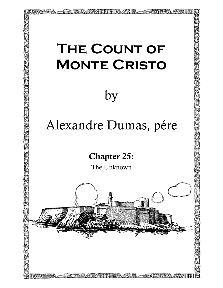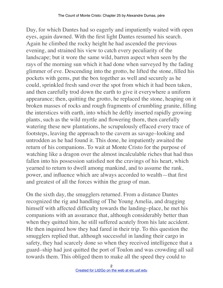Day, for which Dantes had so eagerly and impatiently waited with open eyes, again dawned. With the first light Dantes resumed his search. Again he climbed the rocky height he had ascended the previous evening, and strained his view to catch every peculiarity of the landscape; but it wore the same wild, barren aspect when seen by the rays of the morning sun which it had done when surveyed by the fading glimmer of eve. Descending into the grotto, he lifted the stone, filled his pockets with gems, put the box together as well and securely as he could, sprinkled fresh sand over the spot from which it had been taken, and then carefully trod down the earth to give it everywhere a uniform appearance; then, quitting the grotto, he replaced the stone, heaping on it broken masses of rocks and rough fragments of crumbling granite, filling the interstices with earth, into which he deftly inserted rapidly growing plants, such as the wild myrtle and flowering thorn, then carefully watering these new plantations, he scrupulously effaced every trace of footsteps, leaving the approach to the cavern as savage–looking and untrodden as he had found it. This done, he impatiently awaited the return of his companions. To wait at Monte Cristo for the purpose of watching like a dragon over the almost incalculable riches that had thus fallen into his possession satisfied not the cravings of his heart, which yearned to return to dwell among mankind, and to assume the rank, power, and influence which are always accorded to wealth—that first and greatest of all the forces within the grasp of man.

On the sixth day, the smugglers returned. From a distance Dantes recognized the rig and handling of The Young Amelia, and dragging himself with affected difficulty towards the landing–place, he met his companions with an assurance that, although considerably better than when they quitted him, he still suffered acutely from his late accident. He then inquired how they had fared in their trip. To this question the smugglers replied that, although successful in landing their cargo in safety, they had scarcely done so when they received intelligence that a guard–ship had just quitted the port of Toulon and was crowding all sail towards them. This obliged them to make all the speed they could to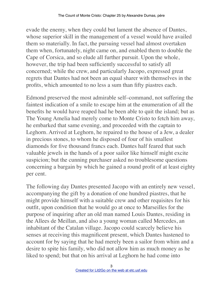evade the enemy, when they could but lament the absence of Dantes, whose superior skill in the management of a vessel would have availed them so materially. In fact, the pursuing vessel had almost overtaken them when, fortunately, night came on, and enabled them to double the Cape of Corsica, and so elude all further pursuit. Upon the whole, however, the trip had been sufficiently successful to satisfy all concerned; while the crew, and particularly Jacopo, expressed great regrets that Dantes had not been an equal sharer with themselves in the profits, which amounted to no less a sum than fifty piastres each.

Edmond preserved the most admirable self–command, not suffering the faintest indication of a smile to escape him at the enumeration of all the benefits he would have reaped had he been able to quit the island; but as The Young Amelia had merely come to Monte Cristo to fetch him away, he embarked that same evening, and proceeded with the captain to Leghorn. Arrived at Leghorn, he repaired to the house of a Jew, a dealer in precious stones, to whom he disposed of four of his smallest diamonds for five thousand francs each. Dantes half feared that such valuable jewels in the hands of a poor sailor like himself might excite suspicion; but the cunning purchaser asked no troublesome questions concerning a bargain by which he gained a round profit of at least eighty per cent.

The following day Dantes presented Jacopo with an entirely new vessel, accompanying the gift by a donation of one hundred piastres, that he might provide himself with a suitable crew and other requisites for his outfit, upon condition that he would go at once to Marseilles for the purpose of inquiring after an old man named Louis Dantes, residing in the Allees de Meillan, and also a young woman called Mercedes, an inhabitant of the Catalan village. Jacopo could scarcely believe his senses at receiving this magnificent present, which Dantes hastened to account for by saying that he had merely been a sailor from whim and a desire to spite his family, who did not allow him as much money as he liked to spend; but that on his arrival at Leghorn he had come into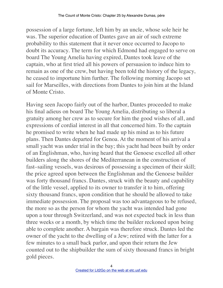possession of a large fortune, left him by an uncle, whose sole heir he was. The superior education of Dantes gave an air of such extreme probability to this statement that it never once occurred to Jacopo to doubt its accuracy. The term for which Edmond had engaged to serve on board The Young Amelia having expired, Dantes took leave of the captain, who at first tried all his powers of persuasion to induce him to remain as one of the crew, but having been told the history of the legacy, he ceased to importune him further. The following morning Jacopo set sail for Marseilles, with directions from Dantes to join him at the Island of Monte Cristo.

Having seen Jacopo fairly out of the harbor, Dantes proceeded to make his final adieus on board The Young Amelia, distributing so liberal a gratuity among her crew as to secure for him the good wishes of all, and expressions of cordial interest in all that concerned him. To the captain he promised to write when he had made up his mind as to his future plans. Then Dantes departed for Genoa. At the moment of his arrival a small yacht was under trial in the bay; this yacht had been built by order of an Englishman, who, having heard that the Genoese excelled all other builders along the shores of the Mediterranean in the construction of fast–sailing vessels, was desirous of possessing a specimen of their skill; the price agreed upon between the Englishman and the Genoese builder was forty thousand francs. Dantes, struck with the beauty and capability of the little vessel, applied to its owner to transfer it to him, offering sixty thousand francs, upon condition that he should be allowed to take immediate possession. The proposal was too advantageous to be refused, the more so as the person for whom the yacht was intended had gone upon a tour through Switzerland, and was not expected back in less than three weeks or a month, by which time the builder reckoned upon being able to complete another. A bargain was therefore struck. Dantes led the owner of the yacht to the dwelling of a Jew; retired with the latter for a few minutes to a small back parlor, and upon their return the Jew counted out to the shipbuilder the sum of sixty thousand francs in bright gold pieces.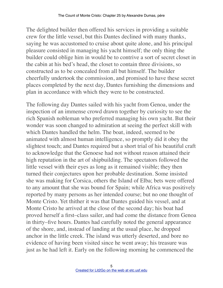The delighted builder then offered his services in providing a suitable crew for the little vessel, but this Dantes declined with many thanks, saying he was accustomed to cruise about quite alone, and his principal pleasure consisted in managing his yacht himself; the only thing the builder could oblige him in would be to contrive a sort of secret closet in the cabin at his bed's head, the closet to contain three divisions, so constructed as to be concealed from all but himself. The builder cheerfully undertook the commission, and promised to have these secret places completed by the next day, Dantes furnishing the dimensions and plan in accordance with which they were to be constructed.

The following day Dantes sailed with his yacht from Genoa, under the inspection of an immense crowd drawn together by curiosity to see the rich Spanish nobleman who preferred managing his own yacht. But their wonder was soon changed to admiration at seeing the perfect skill with which Dantes handled the helm. The boat, indeed, seemed to be animated with almost human intelligence, so promptly did it obey the slightest touch; and Dantes required but a short trial of his beautiful craft to acknowledge that the Genoese had not without reason attained their high reputation in the art of shipbuilding. The spectators followed the little vessel with their eyes as long as it remained visible; they then turned their conjectures upon her probable destination. Some insisted she was making for Corsica, others the Island of Elba; bets were offered to any amount that she was bound for Spain; while Africa was positively reported by many persons as her intended course; but no one thought of Monte Cristo. Yet thither it was that Dantes guided his vessel, and at Monte Cristo he arrived at the close of the second day; his boat had proved herself a first–class sailer, and had come the distance from Genoa in thirty–five hours. Dantes had carefully noted the general appearance of the shore, and, instead of landing at the usual place, he dropped anchor in the little creek. The island was utterly deserted, and bore no evidence of having been visited since he went away; his treasure was just as he had left it. Early on the following morning he commenced the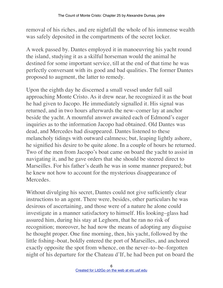removal of his riches, and ere nightfall the whole of his immense wealth was safely deposited in the compartments of the secret locker.

A week passed by. Dantes employed it in manoeuvring his yacht round the island, studying it as a skilful horseman would the animal he destined for some important service, till at the end of that time he was perfectly conversant with its good and bad qualities. The former Dantes proposed to augment, the latter to remedy.

Upon the eighth day he discerned a small vessel under full sail approaching Monte Cristo. As it drew near, he recognized it as the boat he had given to Jacopo. He immediately signalled it. His signal was returned, and in two hours afterwards the new–comer lay at anchor beside the yacht. A mournful answer awaited each of Edmond's eager inquiries as to the information Jacopo had obtained. Old Dantes was dead, and Mercedes had disappeared. Dantes listened to these melancholy tidings with outward calmness; but, leaping lightly ashore, he signified his desire to be quite alone. In a couple of hours he returned. Two of the men from Jacopo's boat came on board the yacht to assist in navigating it, and he gave orders that she should be steered direct to Marseilles. For his father's death he was in some manner prepared; but he knew not how to account for the mysterious disappearance of **Mercedes** 

Without divulging his secret, Dantes could not give sufficiently clear instructions to an agent. There were, besides, other particulars he was desirous of ascertaining, and those were of a nature he alone could investigate in a manner satisfactory to himself. His looking–glass had assured him, during his stay at Leghorn, that he ran no risk of recognition; moreover, he had now the means of adopting any disguise he thought proper. One fine morning, then, his yacht, followed by the little fishing–boat, boldly entered the port of Marseilles, and anchored exactly opposite the spot from whence, on the never–to–be–forgotten night of his departure for the Chateau d'If, he had been put on board the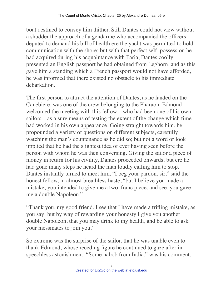boat destined to convey him thither. Still Dantes could not view without a shudder the approach of a gendarme who accompanied the officers deputed to demand his bill of health ere the yacht was permitted to hold communication with the shore; but with that perfect self–possession he had acquired during his acquaintance with Faria, Dantes coolly presented an English passport he had obtained from Leghorn, and as this gave him a standing which a French passport would not have afforded, he was informed that there existed no obstacle to his immediate debarkation.

The first person to attract the attention of Dantes, as he landed on the Canebiere, was one of the crew belonging to the Pharaon. Edmond welcomed the meeting with this fellow—who had been one of his own sailors—as a sure means of testing the extent of the change which time had worked in his own appearance. Going straight towards him, he propounded a variety of questions on different subjects, carefully watching the man's countenance as he did so; but not a word or look implied that he had the slightest idea of ever having seen before the person with whom he was then conversing. Giving the sailor a piece of money in return for his civility, Dantes proceeded onwards; but ere he had gone many steps he heard the man loudly calling him to stop. Dantes instantly turned to meet him. "I beg your pardon, sir," said the honest fellow, in almost breathless haste, "but I believe you made a mistake; you intended to give me a two–franc piece, and see, you gave me a double Napoleon."

"Thank you, my good friend. I see that I have made a trifling mistake, as you say; but by way of rewarding your honesty I give you another double Napoleon, that you may drink to my health, and be able to ask your messmates to join you."

So extreme was the surprise of the sailor, that he was unable even to thank Edmond, whose receding figure he continued to gaze after in speechless astonishment. "Some nabob from India," was his comment.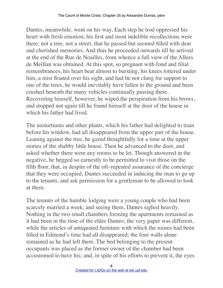Dantes, meanwhile, went on his way. Each step he trod oppressed his heart with fresh emotion; his first and most indelible recollections were there; not a tree, not a street, that he passed but seemed filled with dear and cherished memories. And thus he proceeded onwards till he arrived at the end of the Rue de Noailles, from whence a full view of the Allees de Meillan was obtained. At this spot, so pregnant with fond and filial remembrances, his heart beat almost to bursting, his knees tottered under him, a mist floated over his sight, and had he not clung for support to one of the trees, he would inevitably have fallen to the ground and been crushed beneath the many vehicles continually passing there. Recovering himself, however, he wiped the perspiration from his brows, and stopped not again till he found himself at the door of the house in which his father had lived.

The nasturtiums and other plants, which his father had delighted to train before his window, had all disappeared from the upper part of the house. Leaning against the tree, he gazed thoughtfully for a time at the upper stories of the shabby little house. Then he advanced to the door, and asked whether there were any rooms to be let. Though answered in the negative, he begged so earnestly to be permitted to visit those on the fifth floor, that, in despite of the oft–repeated assurance of the concierge that they were occupied, Dantes succeeded in inducing the man to go up to the tenants, and ask permission for a gentleman to be allowed to look at them.

The tenants of the humble lodging were a young couple who had been scarcely married a week; and seeing them, Dantes sighed heavily. Nothing in the two small chambers forming the apartments remained as it had been in the time of the elder Dantes; the very paper was different, while the articles of antiquated furniture with which the rooms had been filled in Edmond's time had all disappeared; the four walls alone remained as he had left them. The bed belonging to the present occupants was placed as the former owner of the chamber had been accustomed to have his; and, in spite of his efforts to prevent it, the eyes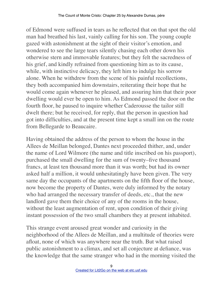of Edmond were suffused in tears as he reflected that on that spot the old man had breathed his last, vainly calling for his son. The young couple gazed with astonishment at the sight of their visitor's emotion, and wondered to see the large tears silently chasing each other down his otherwise stern and immovable features; but they felt the sacredness of his grief, and kindly refrained from questioning him as to its cause, while, with instinctive delicacy, they left him to indulge his sorrow alone. When he withdrew from the scene of his painful recollections, they both accompanied him downstairs, reiterating their hope that he would come again whenever he pleased, and assuring him that their poor dwelling would ever be open to him. As Edmond passed the door on the fourth floor, he paused to inquire whether Caderousse the tailor still dwelt there; but he received, for reply, that the person in question had got into difficulties, and at the present time kept a small inn on the route from Bellegarde to Beaucaire.

Having obtained the address of the person to whom the house in the Allees de Meillan belonged, Dantes next proceeded thither, and, under the name of Lord Wilmore (the name and title inscribed on his passport), purchased the small dwelling for the sum of twenty–five thousand francs, at least ten thousand more than it was worth; but had its owner asked half a million, it would unhesitatingly have been given. The very same day the occupants of the apartments on the fifth floor of the house, now become the property of Dantes, were duly informed by the notary who had arranged the necessary transfer of deeds, etc., that the new landlord gave them their choice of any of the rooms in the house, without the least augmentation of rent, upon condition of their giving instant possession of the two small chambers they at present inhabited.

This strange event aroused great wonder and curiosity in the neighborhood of the Allees de Meillan, and a multitude of theories were afloat, none of which was anywhere near the truth. But what raised public astonishment to a climax, and set all conjecture at defiance, was the knowledge that the same stranger who had in the morning visited the